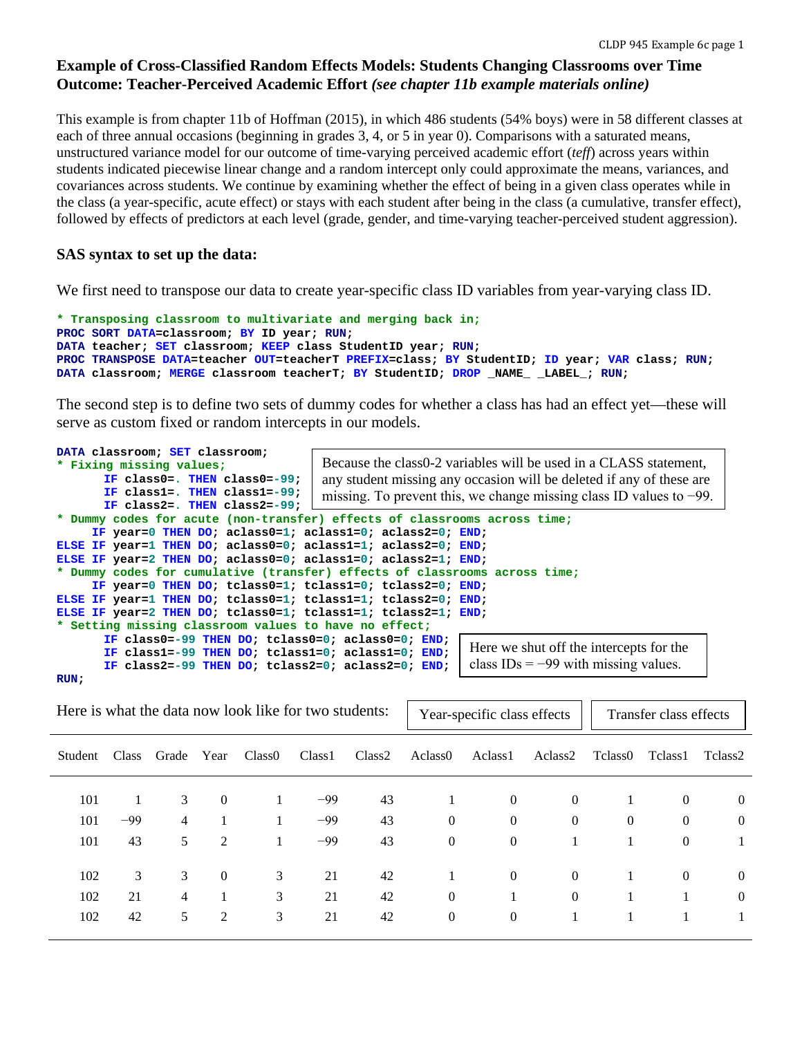# **Example of Cross-Classified Random Effects Models: Students Changing Classrooms over Time Outcome: Teacher-Perceived Academic Effort** *(see chapter 11b example materials online)*

This example is from chapter 11b of Hoffman (2015), in which 486 students (54% boys) were in 58 different classes at each of three annual occasions (beginning in grades 3, 4, or 5 in year 0). Comparisons with a saturated means, unstructured variance model for our outcome of time-varying perceived academic effort (*teff*) across years within students indicated piecewise linear change and a random intercept only could approximate the means, variances, and covariances across students. We continue by examining whether the effect of being in a given class operates while in the class (a year-specific, acute effect) or stays with each student after being in the class (a cumulative, transfer effect), followed by effects of predictors at each level (grade, gender, and time-varying teacher-perceived student aggression).

# **SAS syntax to set up the data:**

We first need to transpose our data to create year-specific class ID variables from year-varying class ID.

```
* Transposing classroom to multivariate and merging back in;
PROC SORT DATA=classroom; BY ID year; RUN;
DATA teacher; SET classroom; KEEP class StudentID year; RUN;
PROC TRANSPOSE DATA=teacher OUT=teacherT PREFIX=class; BY StudentID; ID year; VAR class; RUN;
DATA classroom; MERGE classroom teacherT; BY StudentID; DROP _NAME_ _LABEL_; RUN;
```
The second step is to define two sets of dummy codes for whether a class has had an effect yet—these will serve as custom fixed or random intercepts in our models.

| DATA classroom; SET classroom;                                |                                                                            |
|---------------------------------------------------------------|----------------------------------------------------------------------------|
| * Fixing missing values;                                      | Because the class0-2 variables will be used in a CLASS statement,          |
| IF class0=. THEN class0=-99;                                  | any student missing any occasion will be deleted if any of these are       |
| IF class1=. THEN class1=-99;                                  | missing. To prevent this, we change missing class ID values to $-99$ .     |
| IF class2=. THEN class2=-99;                                  |                                                                            |
|                                                               | * Dummy codes for acute (non-transfer) effects of classrooms across time;  |
| IF year=0 THEN DO; aclass0=1; aclass1=0; aclass2=0; END;      |                                                                            |
| ELSE IF year=1 THEN DO; aclass0=0; aclass1=1; aclass2=0; END; |                                                                            |
| ELSE IF year=2 THEN DO; aclass0=0; aclass1=0; aclass2=1; END; |                                                                            |
|                                                               | * Dummy codes for cumulative (transfer) effects of classrooms across time; |
| IF year=0 THEN DO; tclass0=1; tclass1=0; tclass2=0; END;      |                                                                            |
| ELSE IF year=1 THEN DO; tclass0=1; tclass1=1; tclass2=0; END; |                                                                            |
| ELSE IF year=2 THEN DO; tclass0=1; tclass1=1; tclass2=1; END; |                                                                            |
| * Setting missing classroom values to have no effect;         |                                                                            |
| IF class0=-99 THEN DO; tclass0=0; aclass0=0; END;             |                                                                            |
| IF class1=-99 THEN DO; tclass1=0; aclass1=0; END;             | Here we shut off the intercepts for the                                    |
| IF class2=-99 THEN DO; tclass2=0; aclass2=0; END;             | class $IDs = -99$ with missing values.                                     |
| RUN :                                                         |                                                                            |

| Here is what the data now look like for two students: |       |                |          |                    |                    | Year-specific class effects<br>Transfer class effects |                     |                     |                |                |                  |                |
|-------------------------------------------------------|-------|----------------|----------|--------------------|--------------------|-------------------------------------------------------|---------------------|---------------------|----------------|----------------|------------------|----------------|
| Student                                               | Class | Grade          | Year     | Class <sub>0</sub> | Class <sub>1</sub> | Class <sub>2</sub>                                    | Aclass <sub>0</sub> | Aclass <sub>1</sub> | Aclass2        | Tclass0        | Tclass1          | Tclass2        |
| 101                                                   |       | 3              | $\theta$ |                    | $-99$              | 43                                                    |                     | $\theta$            | $\overline{0}$ |                | $\overline{0}$   | $\overline{0}$ |
| 101                                                   | $-99$ | $\overline{4}$ |          | 1                  | $-99$              | 43                                                    | $\overline{0}$      | $\overline{0}$      | $\overline{0}$ | $\overline{0}$ | $\overline{0}$   | $\overline{0}$ |
| 101                                                   | 43    | 5              | 2        | 1                  | $-99$              | 43                                                    | $\theta$            | $\overline{0}$      |                |                | $\boldsymbol{0}$ |                |
| 102                                                   | 3     | 3              | $\theta$ | 3                  | 21                 | 42                                                    |                     | $\overline{0}$      | $\overline{0}$ |                | $\overline{0}$   | $\overline{0}$ |
| 102                                                   | 21    | 4              |          | 3                  | 21                 | 42                                                    | $\theta$            |                     | $\overline{0}$ |                |                  | $\overline{0}$ |
| 102                                                   | 42    | 5              | 2        | 3                  | 21                 | 42                                                    | $\mathbf{0}$        | $\overline{0}$      |                |                |                  |                |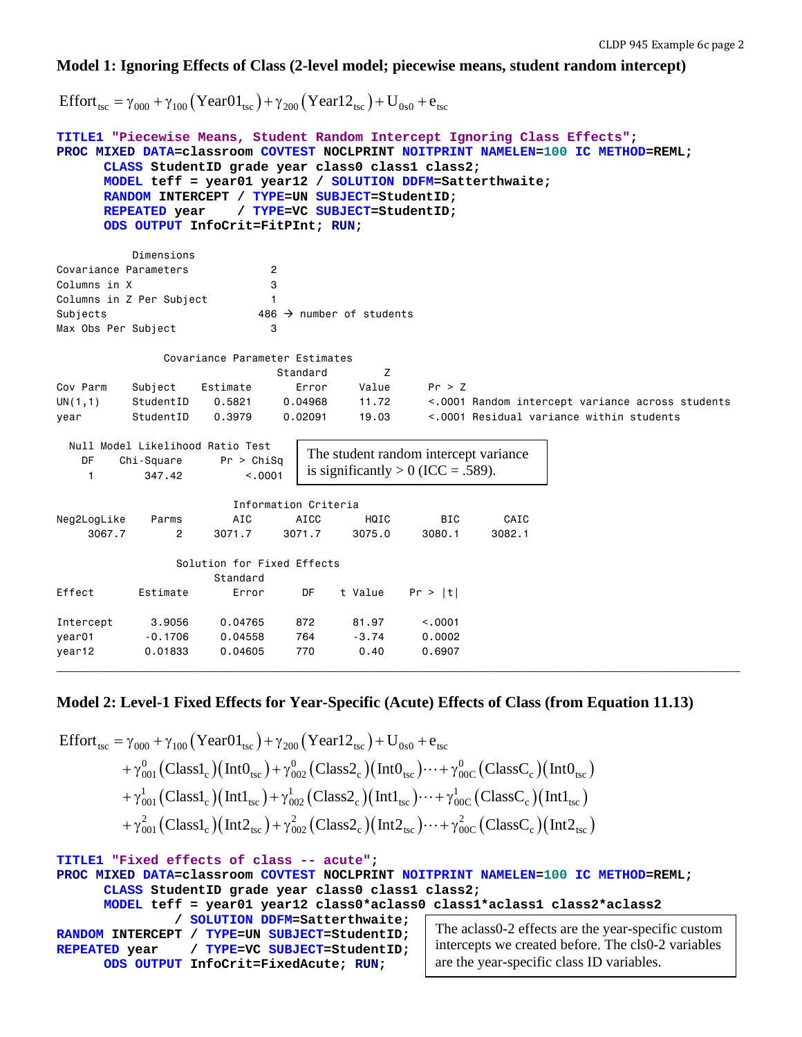## **Model 1: Ignoring Effects of Class (2-level model; piecewise means, student random intercept)**

Effort<sub>tsc</sub> = γ<sub>000</sub> + γ<sub>100</sub> (Year01<sub>tsc</sub>) + γ<sub>200</sub> (Year12<sub>tsc</sub>) + U<sub>0s0</sub> + e<sub>tsc</sub>

```
TITLE1 "Piecewise Means, Student Random Intercept Ignoring Class Effects";
PROC MIXED DATA=classroom COVTEST NOCLPRINT NOITPRINT NAMELEN=100 IC METHOD=REML;
     CLASS StudentID grade year class0 class1 class2; 
     MODEL teff = year01 year12 / SOLUTION DDFM=Satterthwaite; 
     RANDOM INTERCEPT / TYPE=UN SUBJECT=StudentID;
                     REPEATED year / TYPE=VC SUBJECT=StudentID; 
     ODS OUTPUT InfoCrit=FitPInt; RUN;
          Dimensions
Covariance Parameters 2
Columns in X 3
Columns in Z Per Subject 1
Subjects 486 \rightarrow number of students
Max Obs Per Subject 3
              Covariance Parameter Estimates
                           Standard Z
Cov Parm Subject Estimate Error Value Pr > Z
UN(1,1) StudentID 0.5821 0.04968 11.72 <.0001 Random intercept variance across students
year StudentID 0.3979 0.02091 19.03 <.0001 Residual variance within students
  Null Model Likelihood Ratio Test
    DF Chi-Square Pr > ChiSq
    1 347.42 <.0001
                      Information Criteria
Neg2LogLike Parms AIC AICC HQIC BIC CAIC
 3067.7 2 3071.7 3071.7 3075.0 3080.1 3082.1
               Solution for Fixed Effects
                    Standard
Effect Estimate Error DF t Value Pr > |t|
Intercept 3.9056 0.04765 872 81.97 <.0001
year01 -0.1706 0.04558 764 -3.74 0.0002
year12 0.01833 0.04605 770 0.40 0.6907
                              The student random intercept variance 
                              is significantly > 0 (ICC = .589).
```
## **Model 2: Level-1 Fixed Effects for Year-Specific (Acute) Effects of Class (from Equation 11.13)**

**\_\_\_\_\_\_\_\_\_\_\_\_\_\_\_\_\_\_\_\_\_\_\_\_\_\_\_\_\_\_\_\_\_\_\_\_\_\_\_\_\_\_\_\_\_\_\_\_\_\_\_\_\_\_\_\_\_\_\_\_\_\_\_\_\_\_\_\_\_\_\_\_\_\_\_\_\_\_\_\_\_\_\_\_\_\_\_**

$$
\begin{aligned} \text{Effort}_{\text{tsc}} = & \gamma_{000} + \gamma_{100} \left( \text{Year01}_{\text{tsc}} \right) + \gamma_{200} \left( \text{Year12}_{\text{tsc}} \right) + U_{0s0} + e_{\text{tsc}} \\ & + \gamma_{001}^{0} \left( \text{Class1}_{c} \right) \left( \text{Int0}_{\text{tsc}} \right) + \gamma_{002}^{0} \left( \text{Class2}_{c} \right) \left( \text{Int0}_{\text{tsc}} \right) \cdots + \gamma_{00C}^{0} \left( \text{ClassC}_{c} \right) \left( \text{Int0}_{\text{tsc}} \right) \\ & + \gamma_{001}^{1} \left( \text{Class1}_{c} \right) \left( \text{Int1}_{\text{tsc}} \right) + \gamma_{002}^{1} \left( \text{Class2}_{c} \right) \left( \text{Int1}_{\text{tsc}} \right) \cdots + \gamma_{00C}^{1} \left( \text{ClassC}_{c} \right) \left( \text{Int1}_{\text{tsc}} \right) \\ & + \gamma_{001}^{2} \left( \text{Class1}_{c} \right) \left( \text{Int2}_{\text{tsc}} \right) + \gamma_{002}^{2} \left( \text{Class2}_{c} \right) \left( \text{Int2}_{\text{tsc}} \right) \cdots + \gamma_{00C}^{2} \left( \text{ClassC}_{c} \right) \left( \text{Int2}_{\text{tsc}} \right) \end{aligned}
$$

**TITLE1 "Fixed effects of class -- acute"; PROC MIXED DATA=classroom COVTEST NOCLPRINT NOITPRINT NAMELEN=100 IC METHOD=REML; CLASS StudentID grade year class0 class1 class2; MODEL teff = year01 year12 class0\*aclass0 class1\*aclass1 class2\*aclass2 / SOLUTION DDFM=Satterthwaite; RANDOM INTERCEPT / TYPE=UN SUBJECT=StudentID; REPEATED year / TYPE=VC SUBJECT=StudentID; ODS OUTPUT InfoCrit=FixedAcute; RUN;** The aclass0-2 effects are the year-specific custom intercepts we created before. The cls0-2 variables are the year-specific class ID variables.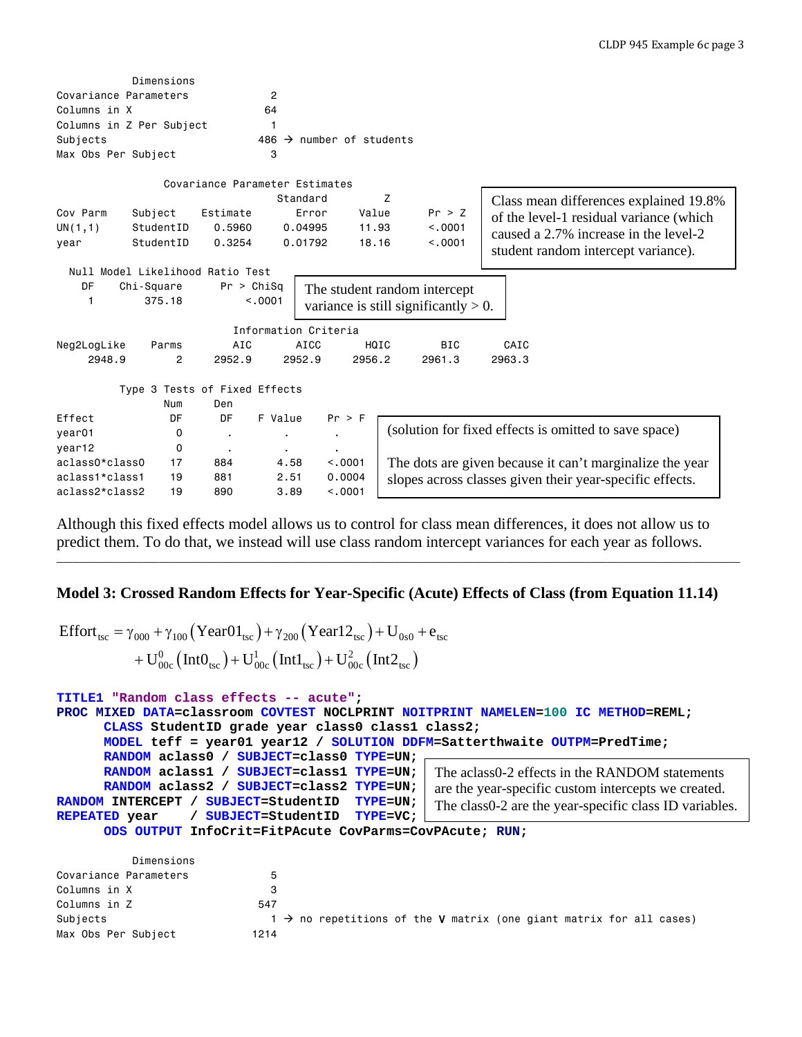|                                  | Dimensions |                                |                |                                  |        |                                         |                                                          |
|----------------------------------|------------|--------------------------------|----------------|----------------------------------|--------|-----------------------------------------|----------------------------------------------------------|
| Covariance Parameters            |            |                                | $\overline{2}$ |                                  |        |                                         |                                                          |
| Columns in X                     |            |                                | 64             |                                  |        |                                         |                                                          |
| Columns in Z Per Subject         |            |                                | 1              |                                  |        |                                         |                                                          |
| Subjects                         |            |                                | 486            | $\rightarrow$ number of students |        |                                         |                                                          |
| Max Obs Per Subject              |            |                                | 3              |                                  |        |                                         |                                                          |
|                                  |            | Covariance Parameter Estimates |                |                                  |        |                                         |                                                          |
|                                  |            |                                |                | Standard                         | Z      |                                         | Class mean differences explained 19.8%                   |
| Cov Parm                         | Subject    | Estimate                       |                | Error                            | Value  | Pr > Z                                  | of the level-1 residual variance (which                  |
| UN(1,1)                          | StudentID  | 0.5960                         |                | 0.04995                          | 11.93  | < .0001                                 |                                                          |
| year                             | StudentID  | 0.3254                         |                | 0.01792                          | 18.16  | < 0.001                                 | caused a 2.7% increase in the level-2                    |
|                                  |            |                                |                |                                  |        |                                         | student random intercept variance).                      |
| Null Model Likelihood Ratio Test |            |                                |                |                                  |        |                                         |                                                          |
| DF                               | Chi-Square | Pr > Chisq                     |                |                                  |        | The student random intercept            |                                                          |
| 1                                | 375.18     |                                | < 0.001        |                                  |        | variance is still significantly $> 0$ . |                                                          |
|                                  |            |                                |                |                                  |        |                                         |                                                          |
|                                  |            |                                |                | Information Criteria             |        |                                         |                                                          |
| Neg2LogLike                      | Parms      | AIC                            |                | <b>AICC</b>                      | HQIC   | <b>BIC</b>                              | CAIC                                                     |
| 2948.9                           | 2          | 2952.9                         |                | 2952.9                           | 2956.2 | 2961.3                                  | 2963.3                                                   |
|                                  |            |                                |                |                                  |        |                                         |                                                          |
|                                  |            | Type 3 Tests of Fixed Effects  |                |                                  |        |                                         |                                                          |
|                                  | Num        | Den                            |                |                                  |        |                                         |                                                          |
| Effect                           | DF         | DF                             | F Value        | $Pr$ > $F$                       |        |                                         | (solution for fixed effects is omitted to save space)    |
| year01                           | 0          | $\blacksquare$                 | ٠              | $\blacksquare$                   |        |                                         |                                                          |
| year12                           | 0          | $\blacksquare$                 | $\blacksquare$ | $\blacksquare$                   |        |                                         |                                                          |
| aclass0*class0                   | 17         | 884                            | 4.58           | < .0001                          |        |                                         | The dots are given because it can't marginalize the year |
| aclass1*class1                   | 19         | 881                            | 2.51           | 0.0004                           |        |                                         | slopes across classes given their year-specific effects. |
| aclass2*class2                   | 19         | 890                            | 3.89           | < 0.001                          |        |                                         |                                                          |

Although this fixed effects model allows us to control for class mean differences, it does not allow us to predict them. To do that, we instead will use class random intercept variances for each year as follows.

**\_\_\_\_\_\_\_\_\_\_\_\_\_\_\_\_\_\_\_\_\_\_\_\_\_\_\_\_\_\_\_\_\_\_\_\_\_\_\_\_\_\_\_\_\_\_\_\_\_\_\_\_\_\_\_\_\_\_\_\_\_\_\_\_\_\_\_\_\_\_\_\_\_\_\_\_\_\_\_\_\_\_\_\_\_\_\_**

# **Model 3: Crossed Random Effects for Year-Specific (Acute) Effects of Class (from Equation 11.14)**

$$
\begin{aligned} \text{Effort}_{\text{tsc}} = & \gamma_{000} + \gamma_{100} \left( \text{Year01}_{\text{tsc}} \right) + \gamma_{200} \left( \text{Year12}_{\text{tsc}} \right) + U_{0s0} + e_{\text{tsc}} \\ & + U_{00c}^{0} \left( \text{Int0}_{\text{tsc}} \right) + U_{00c}^{1} \left( \text{Int1}_{\text{tsc}} \right) + U_{00c}^{2} \left( \text{Int2}_{\text{tsc}} \right) \end{aligned}
$$

```
TITLE1 "Random class effects -- acute";
PROC MIXED DATA=classroom COVTEST NOCLPRINT NOITPRINT NAMELEN=100 IC METHOD=REML;
      CLASS StudentID grade year class0 class1 class2; 
      MODEL teff = year01 year12 / SOLUTION DDFM=Satterthwaite OUTPM=PredTime; 
      RANDOM aclass0 / SUBJECT=class0 TYPE=UN; 
      RANDOM aclass1 / SUBJECT=class1 TYPE=UN;
      RANDOM aclass2 / SUBJECT=class2 TYPE=UN; 
RANDOM INTERCEPT / SUBJECT=StudentID TYPE=UN; 
                  REPEATED year / SUBJECT=StudentID TYPE=VC;
      ODS OUTPUT InfoCrit=FitPAcute CovParms=CovPAcute; RUN;
                                                     The aclass0-2 effects in the RANDOM statements 
                                                     are the year-specific custom intercepts we created. 
                                                    The class0-2 are the year-specific class ID variables.
```

|                       | Dimensions |      |                                                                                        |  |  |  |  |
|-----------------------|------------|------|----------------------------------------------------------------------------------------|--|--|--|--|
| Covariance Parameters |            |      |                                                                                        |  |  |  |  |
| Columns in X          |            |      |                                                                                        |  |  |  |  |
| Columns in Z          |            | 547  |                                                                                        |  |  |  |  |
| Subjects              |            |      | $1 \rightarrow$ no repetitions of the <b>V</b> matrix (one giant matrix for all cases) |  |  |  |  |
| Max Obs Per Subject   |            | 1214 |                                                                                        |  |  |  |  |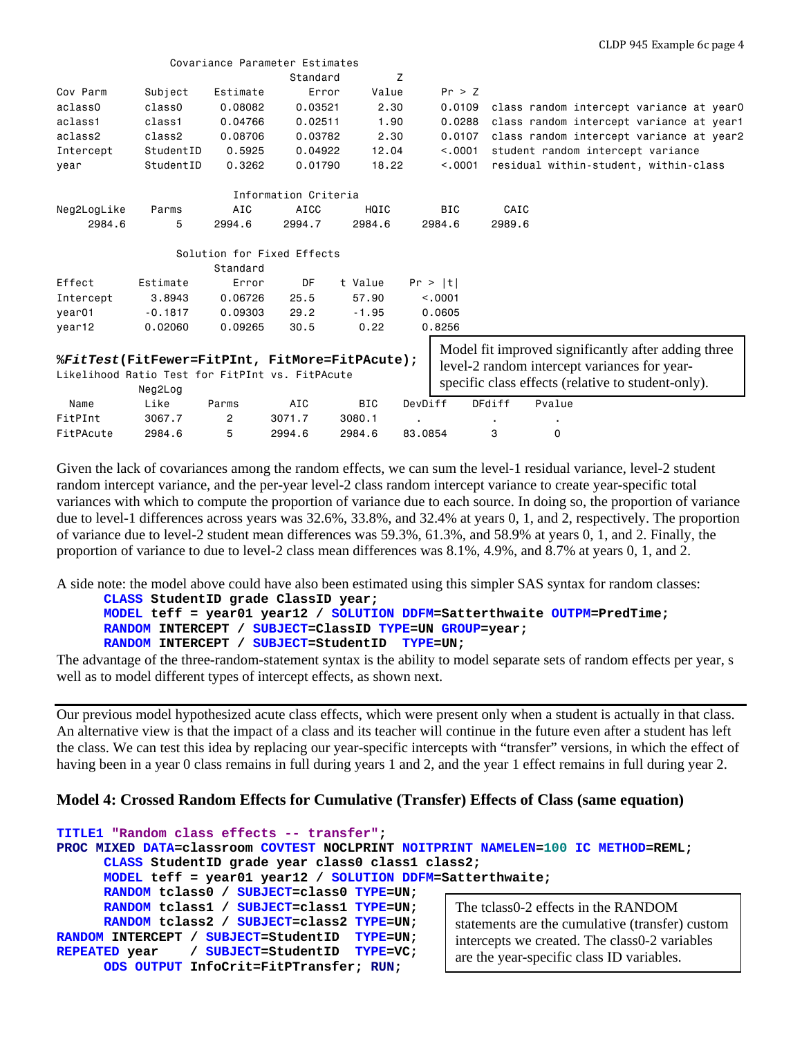|             |           |                | Covariance Parameter Estimates                  |            |            |                                                     |
|-------------|-----------|----------------|-------------------------------------------------|------------|------------|-----------------------------------------------------|
|             |           |                | Standard                                        | Z          |            |                                                     |
| Cov Parm    | Subject   | Estimate       | Error                                           | Value      | Pr > Z     |                                                     |
| aclass0     | class0    | 0.08082        | 0.03521                                         | 2.30       | 0.0109     | class random intercept variance at year0            |
| aclass1     | class1    | 0.04766        | 0.02511                                         | 1,90       | 0.0288     | class random intercept variance at year1            |
| aclass2     | class2    | 0.08706        | 0.03782                                         | 2,30       | 0.0107     | class random intercept variance at year2            |
| Intercept   | StudentID | 0.5925         | 0.04922                                         | 12.04      | < 0.001    | student random intercept variance                   |
| vear        | StudentID | 0.3262         | 0.01790                                         | 18.22      | < 0.001    | residual within-student, within-class               |
|             |           |                | Information Criteria                            |            |            |                                                     |
| Neg2LogLike | Parms     | AIC            | <b>AICC</b>                                     | HQIC       | <b>BIC</b> | CAIC                                                |
| 2984.6      | 5         | 2994.6         | 2994.7                                          | 2984.6     | 2984.6     | 2989.6                                              |
|             |           |                | Solution for Fixed Effects                      |            |            |                                                     |
|             |           | Standard       |                                                 |            |            |                                                     |
| Effect      | Estimate  | Error          | DF                                              | t Value    | Pr >  t    |                                                     |
| Intercept   | 3,8943    | 0.06726        | 25.5                                            | 57.90      | < 0.001    |                                                     |
| year01      | $-0.1817$ | 0.09303        | 29.2                                            | $-1.95$    | 0.0605     |                                                     |
| year12      | 0.02060   | 0.09265        | 30.5                                            | 0.22       | 0.8256     |                                                     |
|             |           |                |                                                 |            |            | Model fit improved significantly after adding three |
|             |           |                | %FitTest(FitFewer=FitPInt, FitMore=FitPAcute);  |            |            | level-2 random intercept variances for year-        |
|             | Neg2Log   |                | Likelihood Ratio Test for FitPInt vs. FitPAcute |            |            | specific class effects (relative to student-only).  |
| Name        | Like      | Parms          | AIC                                             | <b>BIC</b> | DevDiff    | Pvalue<br><b>DFdiff</b>                             |
| FitPInt     | 3067.7    | $\overline{2}$ | 3071.7                                          | 3080.1     |            |                                                     |
| FitPAcute   | 2984.6    | 5              | 2994.6                                          | 2984.6     | 83,0854    | 3<br>0                                              |

Given the lack of covariances among the random effects, we can sum the level-1 residual variance, level-2 student random intercept variance, and the per-year level-2 class random intercept variance to create year-specific total variances with which to compute the proportion of variance due to each source. In doing so, the proportion of variance due to level-1 differences across years was 32.6%, 33.8%, and 32.4% at years 0, 1, and 2, respectively. The proportion of variance due to level-2 student mean differences was 59.3%, 61.3%, and 58.9% at years 0, 1, and 2. Finally, the proportion of variance to due to level-2 class mean differences was 8.1%, 4.9%, and 8.7% at years 0, 1, and 2.

A side note: the model above could have also been estimated using this simpler SAS syntax for random classes: **CLASS StudentID grade ClassID year;** 

```
MODEL teff = year01 year12 / SOLUTION DDFM=Satterthwaite OUTPM=PredTime; 
RANDOM INTERCEPT / SUBJECT=ClassID TYPE=UN GROUP=year; 
RANDOM INTERCEPT / SUBJECT=StudentID TYPE=UN;
```
The advantage of the three-random-statement syntax is the ability to model separate sets of random effects per year, s well as to model different types of intercept effects, as shown next.

Our previous model hypothesized acute class effects, which were present only when a student is actually in that class. An alternative view is that the impact of a class and its teacher will continue in the future even after a student has left the class. We can test this idea by replacing our year-specific intercepts with "transfer" versions, in which the effect of having been in a year 0 class remains in full during years 1 and 2, and the year 1 effect remains in full during year 2.

# **Model 4: Crossed Random Effects for Cumulative (Transfer) Effects of Class (same equation)**

```
TITLE1 "Random class effects -- transfer";
PROC MIXED DATA=classroom COVTEST NOCLPRINT NOITPRINT NAMELEN=100 IC METHOD=REML;
      CLASS StudentID grade year class0 class1 class2; 
      MODEL teff = year01 year12 / SOLUTION DDFM=Satterthwaite; 
      RANDOM tclass0 / SUBJECT=class0 TYPE=UN; 
      RANDOM tclass1 / SUBJECT=class1 TYPE=UN;
      RANDOM tclass2 / SUBJECT=class2 TYPE=UN; 
RANDOM INTERCEPT / SUBJECT=StudentID TYPE=UN; 
                  REPEATED year / SUBJECT=StudentID TYPE=VC; 
      ODS OUTPUT InfoCrit=FitPTransfer; RUN;
                                                        The tclass0-2 effects in the RANDOM 
                                                        statements are the cumulative (transfer) custom 
                                                        intercepts we created. The class0-2 variables 
                                                        are the year-specific class ID variables.
```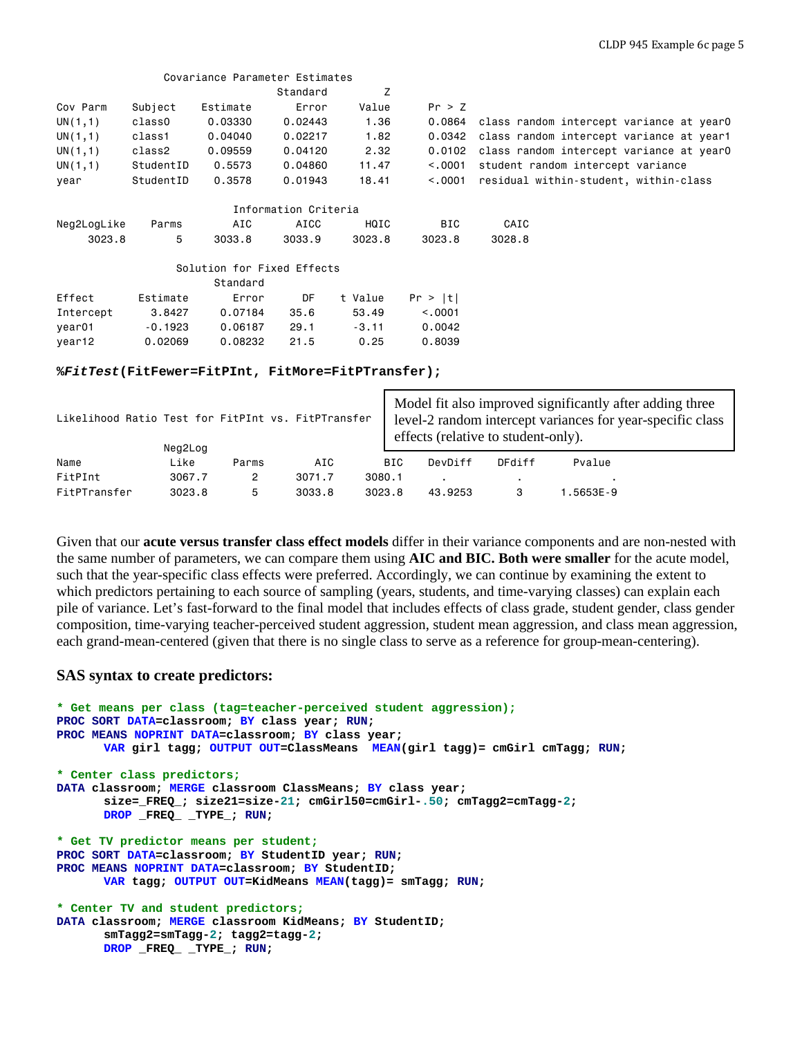|             |           | Covariance Parameter Estimates                    |                      |         |                     |                                                                                                                                                                          |
|-------------|-----------|---------------------------------------------------|----------------------|---------|---------------------|--------------------------------------------------------------------------------------------------------------------------------------------------------------------------|
|             |           |                                                   | Standard             | Z       |                     |                                                                                                                                                                          |
| Cov Parm    | Subject   | Estimate                                          | Error                | Value   | Pr > Z              |                                                                                                                                                                          |
| UN(1,1)     | class0    | 0.03330                                           | 0.02443              | 1.36    | 0.0864              | class random intercept variance at year0                                                                                                                                 |
| UN(1,1)     | class1    | 0.04040                                           | 0.02217              | 1.82    | 0.0342              | class random intercept variance at year1                                                                                                                                 |
| UN(1,1)     | class2    | 0.09559                                           | 0.04120              | 2.32    | 0.0102              | class random intercept variance at year0                                                                                                                                 |
| UN(1,1)     | StudentID | 0.5573                                            | 0.04860              | 11.47   | < 0.001             | student random intercept variance                                                                                                                                        |
| year        | StudentID | 0.3578                                            | 0.01943              | 18.41   | < 0.001             | residual within-student, within-class                                                                                                                                    |
|             |           |                                                   | Information Criteria |         |                     |                                                                                                                                                                          |
| Neg2LogLike | Parms     | AIC                                               | AICC                 | HQIC    | <b>BIC</b>          | CAIC                                                                                                                                                                     |
| 3023.8      | 5         | 3033.8                                            | 3033.9               | 3023.8  | 3023.8              | 3028.8                                                                                                                                                                   |
|             |           | Solution for Fixed Effects                        |                      |         |                     |                                                                                                                                                                          |
|             |           | Standard                                          |                      |         |                     |                                                                                                                                                                          |
| Effect      | Estimate  | Error                                             | DF                   | t Value | Pr >  t             |                                                                                                                                                                          |
| Intercept   | 3.8427    | 0.07184                                           | 35.6                 | 53.49   | < 0.0001            |                                                                                                                                                                          |
| year01      | $-0.1923$ | 0.06187                                           | 29.1                 | $-3.11$ | 0.0042              |                                                                                                                                                                          |
| year12      | 0.02069   | 0.08232                                           | 21.5                 | 0.25    | 0.8039              |                                                                                                                                                                          |
|             |           | %FitTest(FitFewer=FitPInt, FitMore=FitPTransfer); |                      |         |                     |                                                                                                                                                                          |
|             |           |                                                   |                      |         |                     |                                                                                                                                                                          |
|             |           |                                                   |                      |         | <b>M</b> 1 1 $Ci$ 1 | $\mathbf{1}$ $\mathbf{1}$ $\mathbf{1}$ $\mathbf{1}$ $\mathbf{1}$ $\mathbf{1}$ $\mathbf{1}$ $\mathbf{1}$ $\mathbf{1}$ $\mathbf{1}$ $\mathbf{1}$ $\mathbf{1}$ $\mathbf{1}$ |

|              | Likelihood Ratio Test for FitPInt vs. FitPTransfer<br>Neg2Log |       |        |            | Model fit also improved significantly after adding three<br>level-2 random intercept variances for year-specific class<br>effects (relative to student-only). |        |          |  |  |
|--------------|---------------------------------------------------------------|-------|--------|------------|---------------------------------------------------------------------------------------------------------------------------------------------------------------|--------|----------|--|--|
| Name         | Like                                                          | Parms | AIC    | <b>BIC</b> | DevDiff                                                                                                                                                       | DFdiff | Pvalue   |  |  |
| FitPInt      | 3067.7                                                        | 2     | 3071.7 | 3080.1     |                                                                                                                                                               |        |          |  |  |
| FitPTransfer | 3023.8                                                        | 5     | 3033.8 | 3023.8     | 43,9253                                                                                                                                                       |        | .5653E-9 |  |  |

Given that our **acute versus transfer class effect models** differ in their variance components and are non-nested with the same number of parameters, we can compare them using **AIC and BIC. Both were smaller** for the acute model, such that the year-specific class effects were preferred. Accordingly, we can continue by examining the extent to which predictors pertaining to each source of sampling (years, students, and time-varying classes) can explain each pile of variance. Let's fast-forward to the final model that includes effects of class grade, student gender, class gender composition, time-varying teacher-perceived student aggression, student mean aggression, and class mean aggression, each grand-mean-centered (given that there is no single class to serve as a reference for group-mean-centering).

## **SAS syntax to create predictors:**

```
* Get means per class (tag=teacher-perceived student aggression);
PROC SORT DATA=classroom; BY class year; RUN;
PROC MEANS NOPRINT DATA=classroom; BY class year;
      VAR girl tagg; OUTPUT OUT=ClassMeans MEAN(girl tagg)= cmGirl cmTagg; RUN;
* Center class predictors;
DATA classroom; MERGE classroom ClassMeans; BY class year;
      size=_FREQ_; size21=size-21; cmGirl50=cmGirl-.50; cmTagg2=cmTagg-2;
      DROP _FREQ_ _TYPE_; RUN;
* Get TV predictor means per student;
PROC SORT DATA=classroom; BY StudentID year; RUN;
PROC MEANS NOPRINT DATA=classroom; BY StudentID; 
      VAR tagg; OUTPUT OUT=KidMeans MEAN(tagg)= smTagg; RUN;
* Center TV and student predictors;
DATA classroom; MERGE classroom KidMeans; BY StudentID;
      smTagg2=smTagg-2; tagg2=tagg-2;
      DROP _FREQ_ _TYPE_; RUN;
```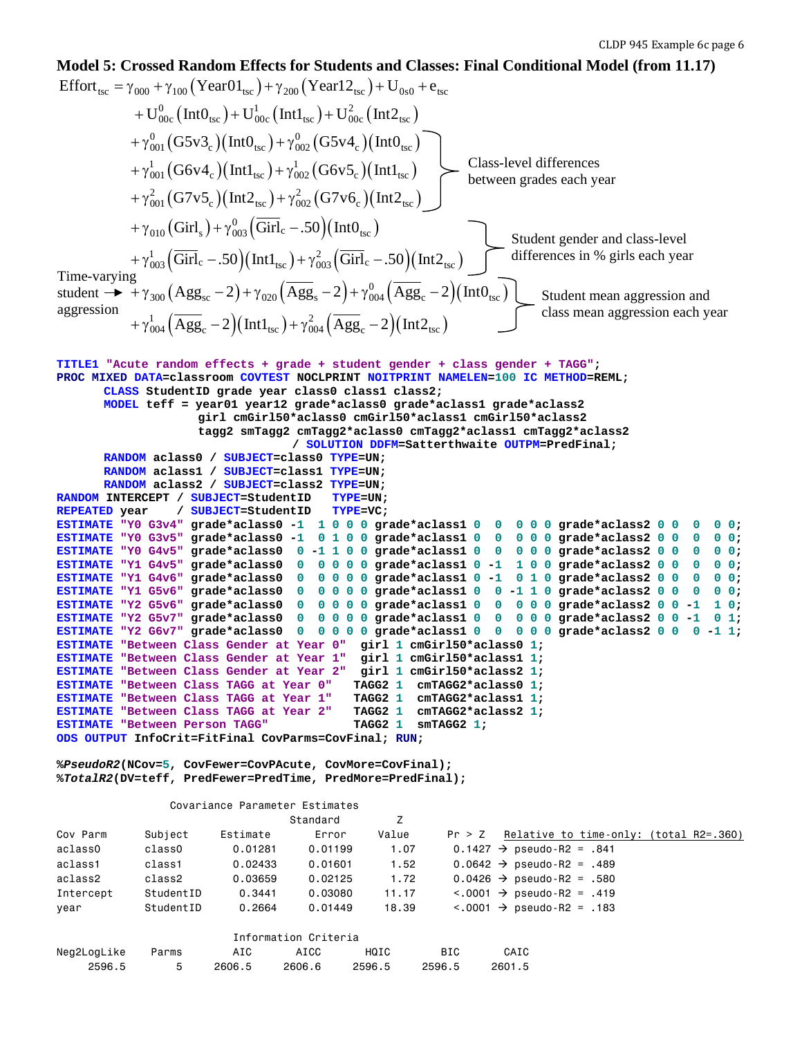#### Time-varying student  $\rightarrow$  +  $\gamma_{300}$  (Agg<sub>sc</sub> - 2) +  $\gamma_{020}$  (Agg<sub>s</sub> - 2) +  $\gamma_{004}^0$  (Agg<sub>c</sub> - 2) (IntO<sub>tsc</sub>) aggression **Model 5: Crossed Random Effects for Students and Classes: Final Conditional Model (from 11.17)** Effort<sub>tsc</sub> =  $\gamma_{000} + \gamma_{100}$  (Year01<sub>tsc</sub>) +  $\gamma_{200}$  (Year12<sub>tsc</sub>) + U<sub>0s0</sub> + e<sub>tsc</sub>  $^{0}_{00c}$  (IntO<sub>tsc</sub>) + U<sub>00c</sub> (Int1<sub>tsc</sub>) + U<sub>00c</sub> (Int2<sub>tsc</sub>)  $^{0}_{001}$  (G5v3<sub>c</sub>)(Int0<sub>tsc</sub>) +  $\gamma^{0}_{002}$  (G5v4<sub>c</sub>)(Int0<sub>tsc</sub>)  $\frac{1}{0.01}$  (G6v4<sub>c</sub>)(Int1<sub>tsc</sub>)  $+ \rm{U}_{00c}^{0} \left( \rm{Int} \rm{0}_{tsc} \right)$  +  $\rm{U}_{00c}^{1} \left( \rm{Int} \rm{1}_{tsc} \right)$  +  $\rm{U}_{00c}^{2} \left( \rm{Int} \rm{2}_{tsc} \right)$  $+\gamma_{001}^{0} (G5v3_{c}) (Int0_{tsc}) + \gamma_{002}^{0} (G5v4_{c}) (Int0_{tsc})$  $+ \gamma_{001}^1 \big(\text{G6v4}_\text{c}\big)(\text{Int1}_\text{tsc}) + \gamma_{002}^1 \big(\text{G6v5}_\text{c}\big)(\text{Int1}_\text{tsc})$  $\frac{2}{1001}$  (G7v5<sub>c</sub>)(Int2<sub>tsc</sub>) +  $\gamma_{.002}^{2}$  (G7v6<sub>c</sub>)(Int2<sub>tsc</sub>)  $+\gamma_{010}^{\vphantom{0}}\left(\text{Girl}_\text{s}\right)+\gamma_{003}^{0}\left(\overline{\text{Girl}}_\text{c}-.50\right)\left(\text{Int0}_\text{tsc}\right)$  $+\gamma_{003}^1(\overline{\text{Girl}}_c-.50)(\text{Int1}_{\text{tsc}})+\gamma_{003}^2(\overline{\text{Girl}}_c-.50)(\text{Int2}_{\text{tsc}})$  differences in % girls each year  $_{02}$ (G6v5<sub>c</sub>)(Int1<sub>tsc</sub>) Class-level differences  $+\gamma_{001}^2(G7v5_c)(\text{Int2}_{\text{tsc}})+\gamma_{002}^2(G7v6_c)(\text{Int2}_{\text{tsc}})$  $\frac{1}{0.04} \left( \overline{\mathrm{Agg}}_{\mathrm{c}} - 2 \right) \left( \mathrm{Int1_{tsc}} \right) + \gamma_{004}^2 \left( \overline{\mathrm{Agg}}_{\mathrm{c}} - 2 \right) \left( \mathrm{Int2_{tsc}} \right)$  $\rm{Agg}_{sc}$  – 2) +  $\gamma_{020}$   $\rm{ (Agg}_{s}$  – 2) +  $\gamma_{004}^{0}$   $\rm{ (Agg}_{c}$  – 2) $\rm{ (Int0_{tsc}$  $+\gamma_{004}^1 (Agg_c - 2)(\text{Int1}_{\text{tsc}}) + \gamma_{004}^2 (Agg_c - 2)(\text{Int2}_{\text{tsc}})$ **TITLE1 "Acute random effects + grade + student gender + class gender + TAGG"; PROC MIXED DATA=classroom COVTEST NOCLPRINT NOITPRINT NAMELEN=100 IC METHOD=REML; CLASS StudentID grade year class0 class1 class2; MODEL teff = year01 year12 grade\*aclass0 grade\*aclass1 grade\*aclass2 girl cmGirl50\*aclass0 cmGirl50\*aclass1 cmGirl50\*aclass2 tagg2 smTagg2 cmTagg2\*aclass0 cmTagg2\*aclass1 cmTagg2\*aclass2 / SOLUTION DDFM=Satterthwaite OUTPM=PredFinal; RANDOM aclass0 / SUBJECT=class0 TYPE=UN; RANDOM aclass1 / SUBJECT=class1 TYPE=UN; RANDOM aclass2 / SUBJECT=class2 TYPE=UN; RANDOM INTERCEPT / SUBJECT=StudentID TYPE=UN; REPEATED year / SUBJECT=StudentID TYPE=VC; ESTIMATE "Y0 G3v4" grade\*aclass0 -1 1 0 0 0 grade\*aclass1 0 0 0 0 0 grade\*aclass2 0 0 0 0 0; ESTIMATE "Y0 G3v5" grade\*aclass0 -1 0 1 0 0 grade\*aclass1 0 0 0 0 0 grade\*aclass2 0 0 0 0 0; ESTIMATE "Y0 G4v5" grade\*aclass0 0 -1 1 0 0 grade\*aclass1 0 0 0 0 0 grade\*aclass2 0 0 0 0 0; ESTIMATE "Y1 G4v5" grade\*aclass0 0 0 0 0 0 grade\*aclass1 0 -1 1 0 0 grade\*aclass2 0 0 0 0 0; ESTIMATE "Y1 G4v6" grade\*aclass0 0 0 0 0 0 grade\*aclass1 0 -1 0 1 0 grade\*aclass2 0 0 0 0 0; ESTIMATE "Y1 G5v6" grade\*aclass0 0 0 0 0 0 grade\*aclass1 0 0 -1 1 0 grade\*aclass2 0 0 0 0 0; ESTIMATE "Y2 G5v6" grade\*aclass0 0 0 0 0 0 grade\*aclass1 0 0 0 0 0 grade\*aclass2 0 0 -1 1 0; ESTIMATE "Y2 G5v7" grade\*aclass0 0 0 0 0 0 grade\*aclass1 0 0 0 0 0 grade\*aclass2 0 0 -1 0 1; ESTIMATE "Y2 G6v7" grade\*aclass0 0 0 0 0 0 grade\*aclass1 0 0 0 0 0 grade\*aclass2 0 0 0 -1 1; ESTIMATE "Between Class Gender at Year 0" girl 1 cmGirl50\*aclass0 1; ESTIMATE "Between Class Gender at Year 1" girl 1 cmGirl50\*aclass1 1; ESTIMATE "Between Class Gender at Year 2" girl 1 cmGirl50\*aclass2 1; ESTIMATE "Between Class TAGG at Year 0" TAGG2 1 cmTAGG2\*aclass0 1; ESTIMATE "Between Class TAGG at Year 1" TAGG2 1 cmTAGG2\*aclass1 1; ESTIMATE "Between Class TAGG at Year 2" TAGG2 1 cmTAGG2\*ac<br>ESTIMATE "Between Person TAGG" 17AGG2 1 smTAGG2 1; ESTIMATE "Between Person TAGG" ODS OUTPUT InfoCrit=FitFinal CovParms=CovFinal; RUN; %***PseudoR2***(NCov=5, CovFewer=CovPAcute, CovMore=CovFinal); %***TotalR2***(DV=teff, PredFewer=PredTime, PredMore=PredFinal);** Covariance Parameter Estimates example and the Standard Grand Standard Z Cov Parm Subject Estimate Error Value Pr > Z Relative to time-only: (total R2=.360) aclass0 class0 0.01281 0.01199 1.07 0.1427  $\rightarrow$  pseudo-R2 = .841 aclass1 class1 0.02433 0.01601 1.52 0.0642  $\rightarrow$  pseudo-R2 = .489 aclass2 class2 0.03659 0.02125 1.72 0.0426  $\rightarrow$  pseudo-R2 = .580 Intercept StudentID  $0.3441$   $0.03080$   $11.17$   $< .0001$   $\rightarrow$  pseudo-R2 = .419 year StudentID  $0.2664$   $0.01449$   $18.39$   $<.0001$   $\rightarrow$  pseudo-R2 = .183 between grades each year Student gender and class-level Student mean aggression and class mean aggression each year

| Information Criteria |       |        |        |        |        |        |  |  |  |  |
|----------------------|-------|--------|--------|--------|--------|--------|--|--|--|--|
| Neg2LogLike          | Parms | AIC    | AICC   | HQIC   | BTC.   | CAIC   |  |  |  |  |
| 2596.5               | 5.    | 2606.5 | 2606.6 | 2596.5 | 2596.5 | 2601.5 |  |  |  |  |